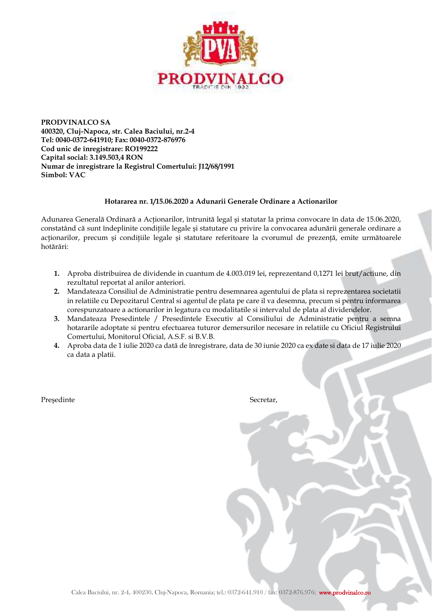

**PRODVINALCO SA 400320, Cluj-Napoca, str. Calea Baciului, nr.2-4 Tel: 0040-0372-641910; Fax: 0040-0372-876976 Cod unic de înregistrare: RO199222 Capital social: 3.149.503,4 RON Numar de inregistrare la Registrul Comertului: J12/68/1991 Simbol: VAC** 

## **Hotararea nr. 1/15.06.2020 a Adunarii Generale Ordinare a Actionarilor**

Adunarea Generală Ordinară a Actionarilor, întrunită legal și statutar la prima convocare în data de 15.06.2020, constatând că sunt îndeplinite conditiile legale și statutare cu privire la convocarea adunării generale ordinare a acționarilor, precum și condițiile legale și statutare referitoare la cvorumul de prezență, emite următoarele hotărâri:

- **1.** Aproba distribuirea de dividende in cuantum de 4.003.019 lei, reprezentand 0,1271 lei brut/actiune, din rezultatul reportat al anilor anteriori.
- **2.** Mandateaza Consiliul de Administratie pentru desemnarea agentului de plata si reprezentarea societatii in relatiile cu Depozitarul Central si agentul de plata pe care il va desemna, precum si pentru informarea corespunzatoare a actionarilor in legatura cu modalitatile si intervalul de plata al dividendelor.
- **3.** Mandateaza Presedintele / Presedintele Executiv al Consiliului de Administratie pentru a semna hotararile adoptate si pentru efectuarea tuturor demersurilor necesare in relatiile cu Oficiul Registrului Comertului, Monitorul Oficial, A.S.F. si B.V.B.
- **4.** Aproba data de 1 iulie 2020 ca datã de înregistrare, data de 30 iunie 2020 ca ex date si data de 17 iulie 2020 ca data a platii.

Președinte Secretar,